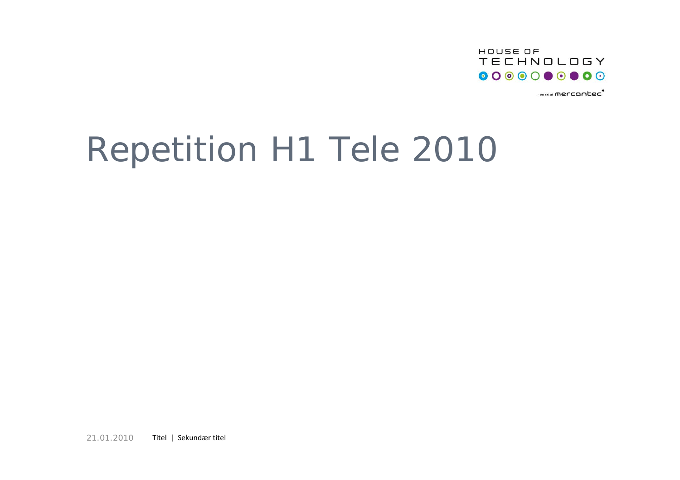

 $-$ en del af **mercantec<sup>+</sup>** 

## Repetition H1 Tele 2010

21.01.2010Titel | Sekundær titel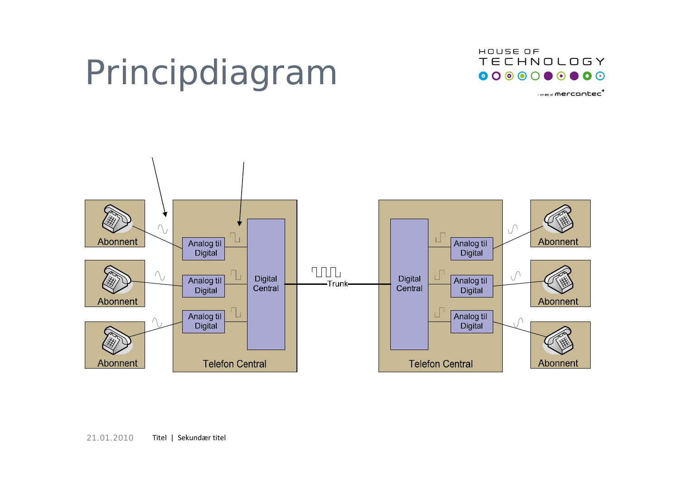# Principdiagram



- en del af **mercantec** 

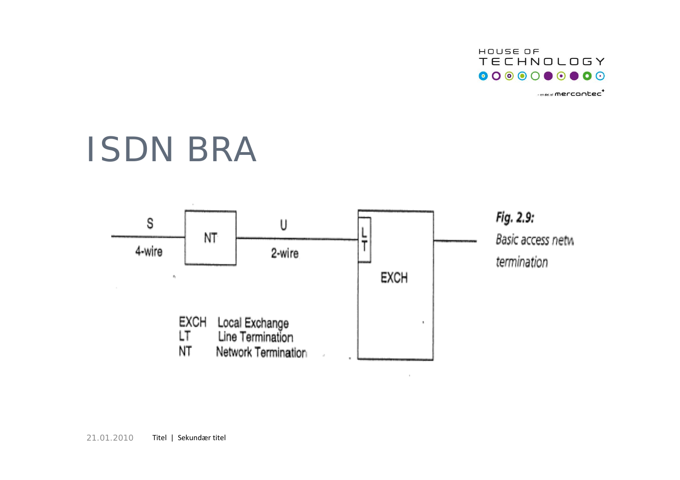

 $-$ en del af **mercantec<sup>+</sup>** 

## ISDN BRA



 $\bar{z}$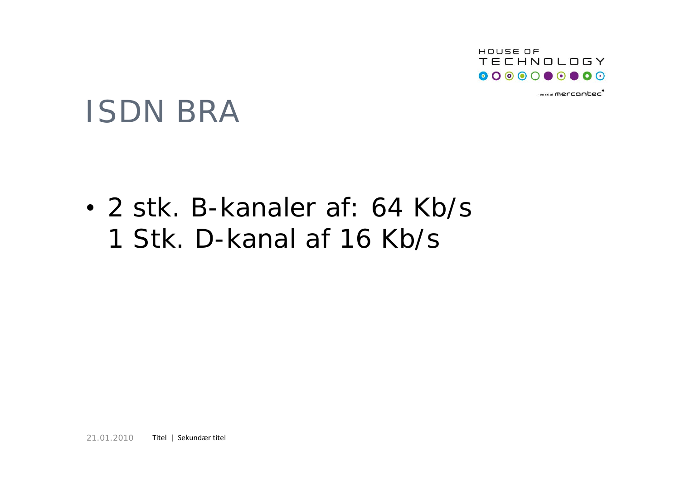

 $-$ en del al mercontec<sup>+</sup>

## ISDN BRA

• 2 stk. B-kanaler af: 64 Kb/s 1 Stk. D-kanal af 16 Kb/s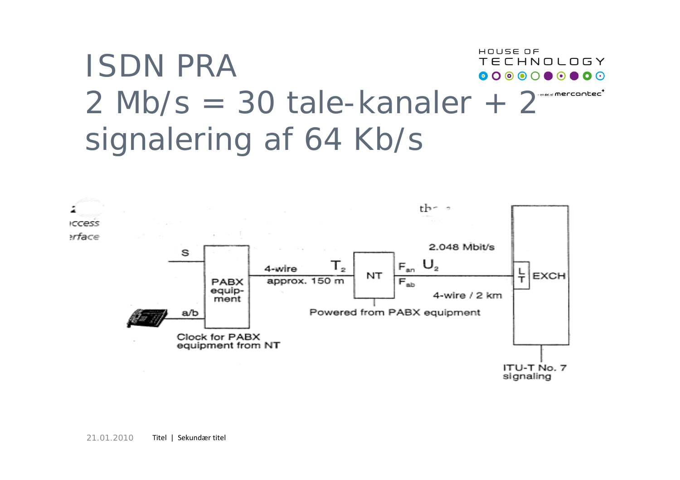#### HOUSE OF ISDN PRA**TECHNOLOGY**  $2$  Mb/s = 30 tale-kanaler +  $2^{n}$ signalering af 64 Kb/s

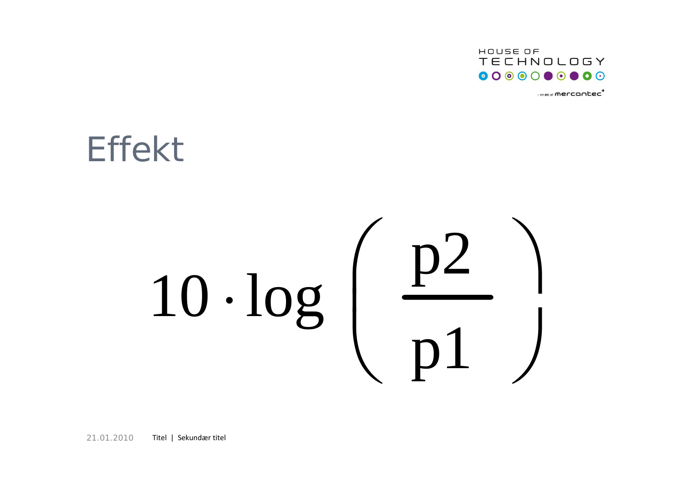

 $-$ en del af **mercantec** 

## Effekt

# 10 · log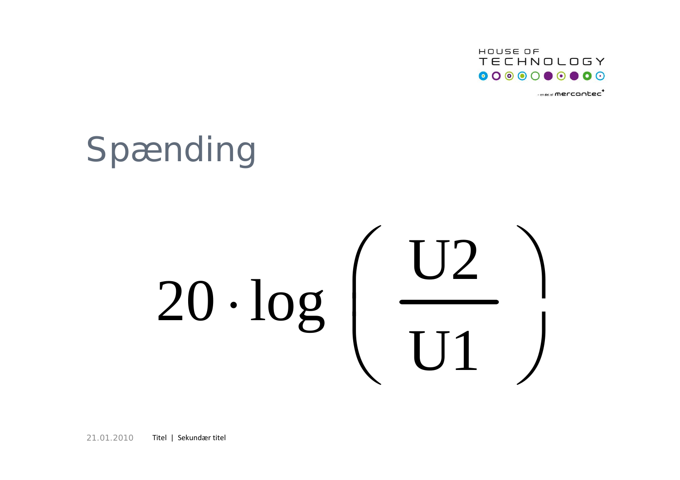

 $-$ en del af **mercantec** 

# Spænding

# $20 \cdot \log \left( \frac{\text{U2}}{\text{}} \right)$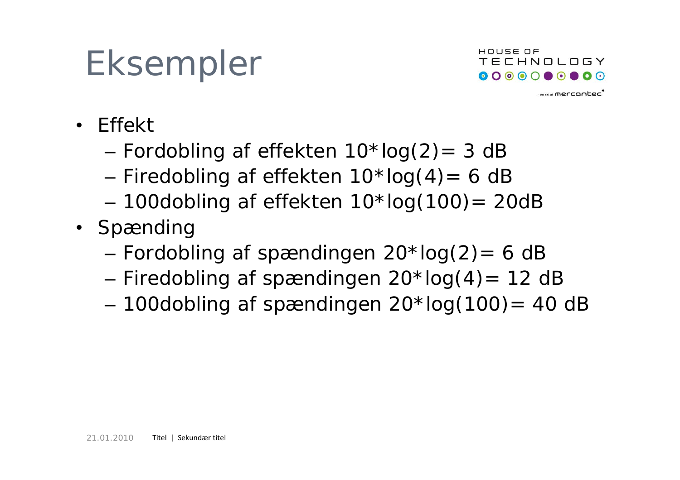# Eksempler



 $-$ en del af **mercontec<sup>+</sup>** 

- Effekt
	- –– Fordobling af effekten 10\*log(2)= 3 dB
	- –– Firedobling af effekten 10\*log(4)= 6 dE
	- –– 100dobling af effekten 10\*log(100)= 20dB
- Spænding
	- Fordobling af spændingen 20\*log(2)= 6 dB
	- –– Firedobling af spændingen 20\*log(4)= 12 dE
	- –100dobling af spændingen 20\*log(100)= 40 dB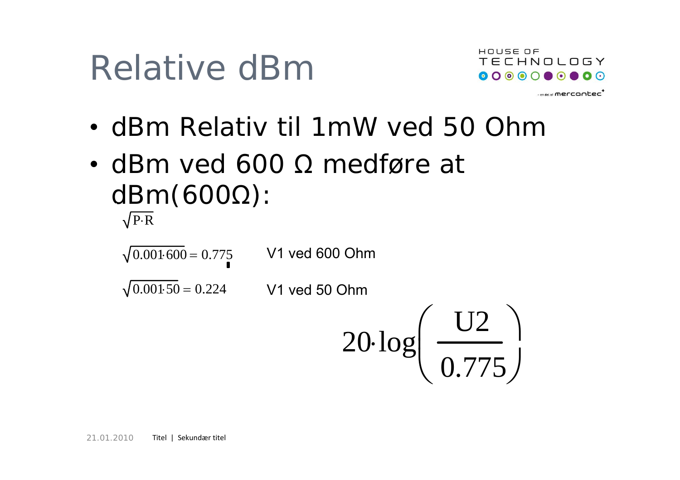# Relative dBm



- en del al **mercontec<sup>t</sup>** 

- dBm Relativ til 1mW ved 50 Ohm
- dBm ved 600 Ω medføre at dBm(600Ω): P R<sup>⋅</sup>

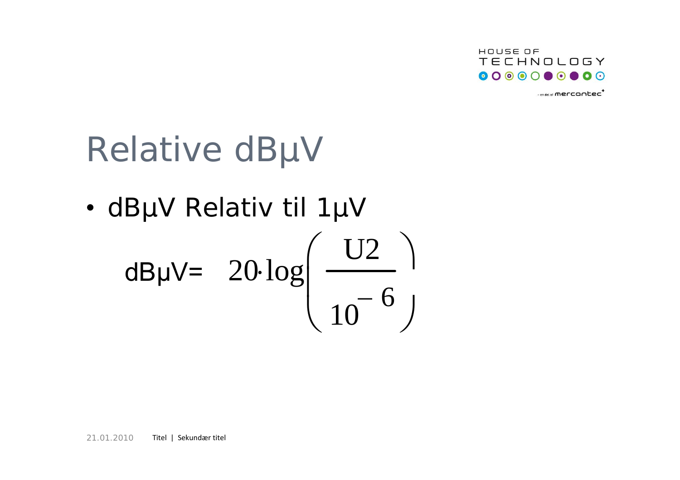

 $-$ en del af **mercantec<sup>+</sup>** 

# Relative dBµV

• dBµV Relativ til 1µV

$$
dB\mu V = 20 \log \left( \frac{U2}{10^{-6}} \right)
$$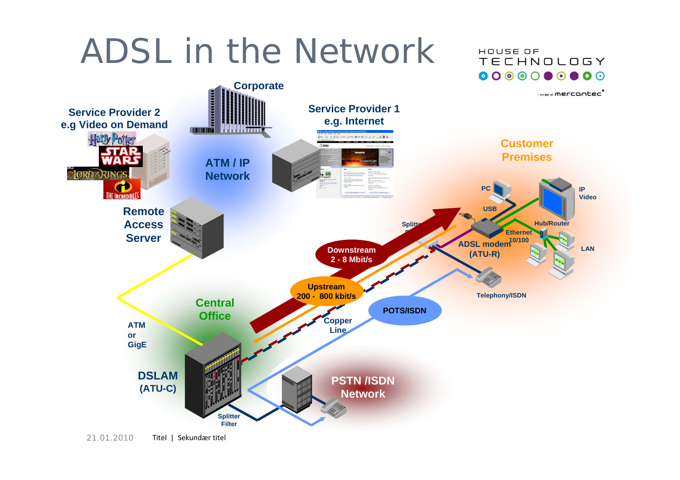## ADSL in the Network



HOUSE OF

**TECHNOLOGY**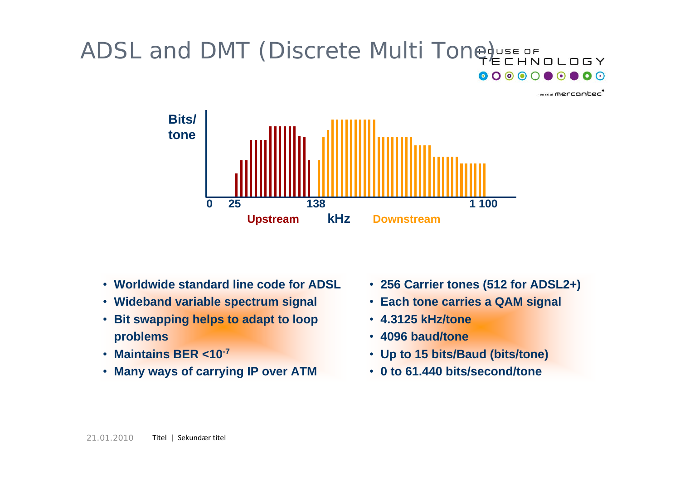### ADSL and DMT (Discrete Multi Toneduse of Languagy

 $-$ en del af **mercontec<sup>+</sup>** 



- **Worldwide standard line code for ADSL**
- **Wideband variable spectrum signal**
- **Bit swapping helps to adapt to loop problems**
- **Maintains BER <10-7**
- **Many ways of carrying IP over ATM**
- **256 Carrier tones (512 for ADSL2+)**
- **Each tone carries a QAM signal**
- **4.3125 kHz/tone**
- **4096 baud/tone**
- **Up to 15 bits/Baud (bits/tone)**
- **0 to 61.440 bits/second/tone**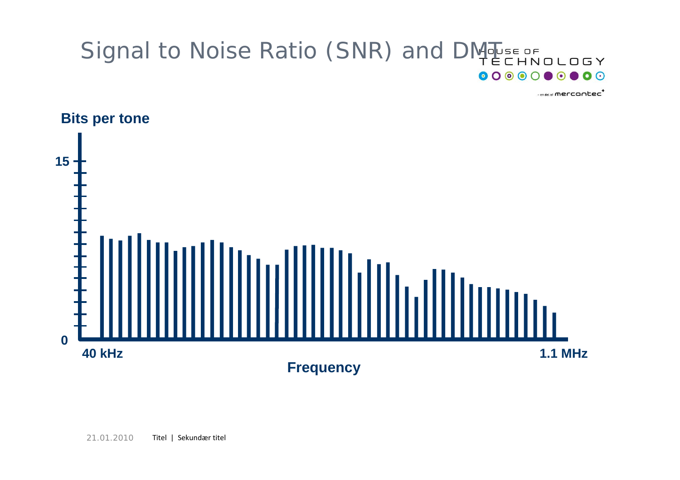#### Signal to Noise Ratio (SNR) and DM BEE OF Signal to Noise Ratio (SNR) and DM BEE OF  $\mathbf{O}$

-en del af **mercantec** 

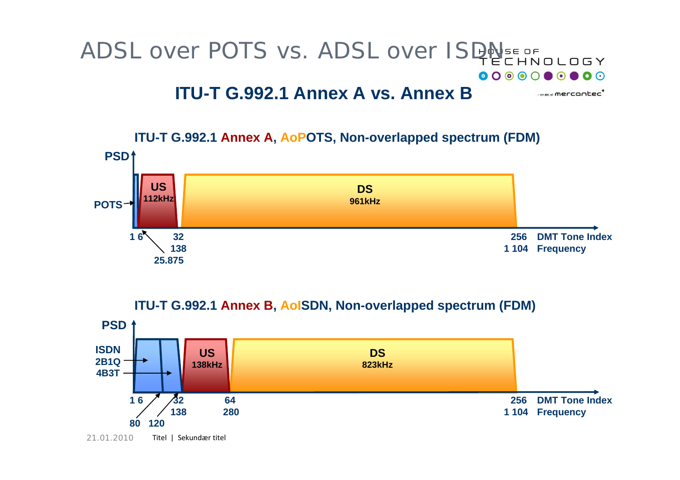#### ADSL over POTS vs. ADSL over ISDA  $\mathbf{O}$   $\odot$ **ITU-T G.992.1 Annex A vs. Annex B** $-$ en del al mercontec<sup>+</sup>



#### **ITU-T G.992.1 Annex B, AoISDN, Non-overlapped spectrum (FDM)**

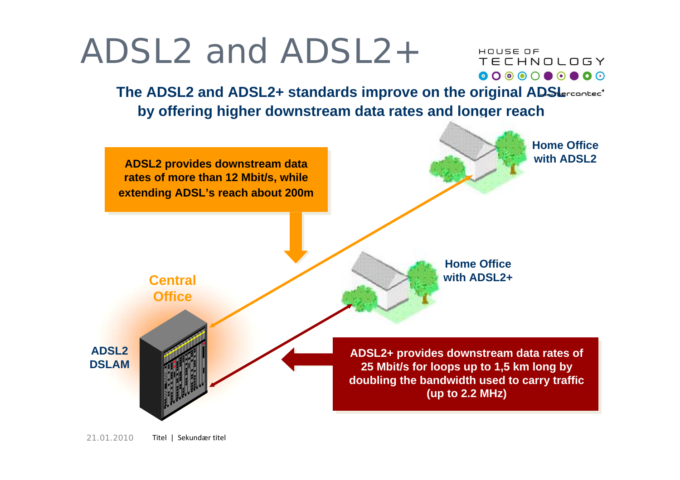## ADSL2 and ADSL2+

HOUSE OF **TECHNOLOGY** 

**The ADSL2 and ADSL2+ standards improve on the original ADSIErcontect by offering higher downstream data rates and longer reach**

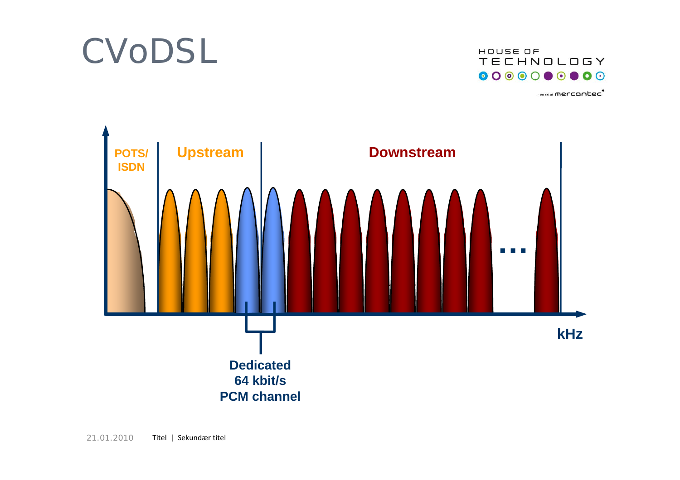## CVoDSL



 $-$ en del af **mercantec** 

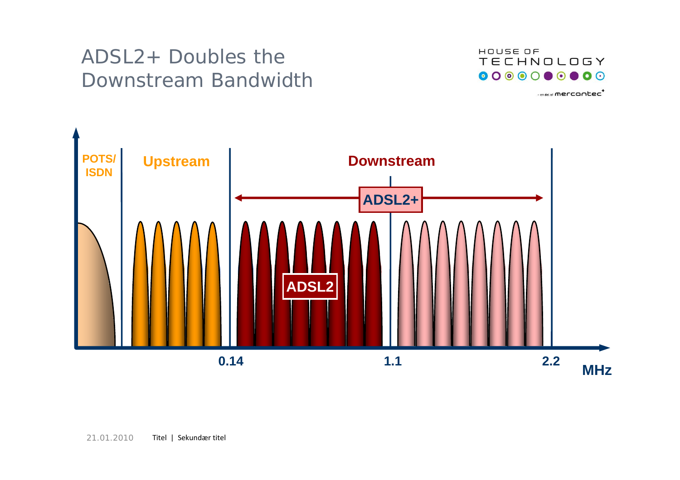### ADSL2+ Doubles the Downstream Bandwidth



 $-$ en del af **mercantec<sup>+</sup>** 

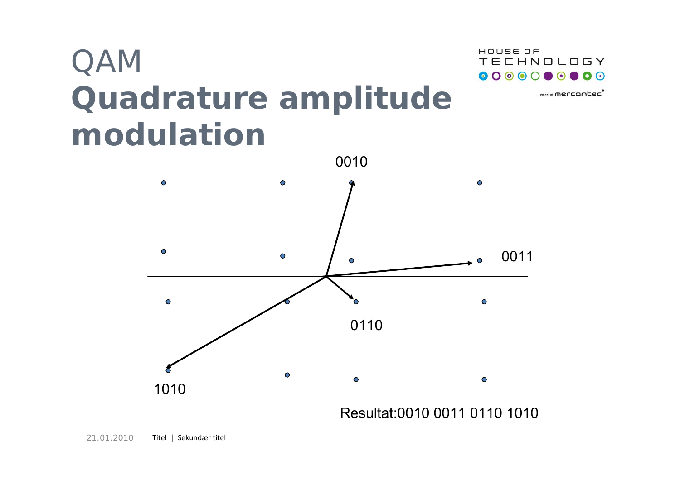





- en del al **mercontec<sup>+</sup>**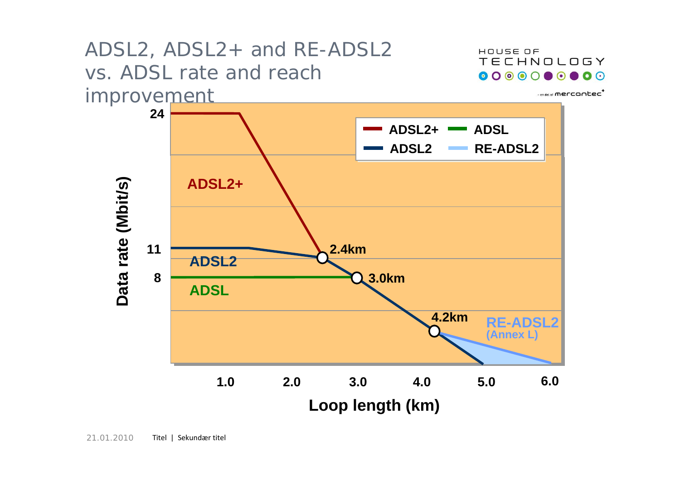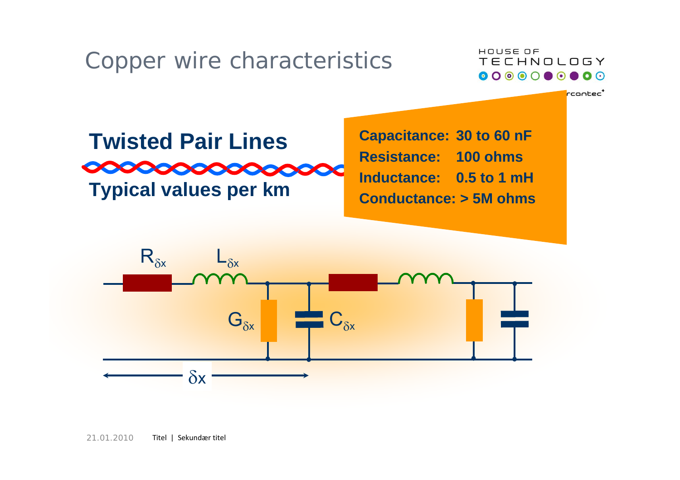## Copper wire characteristics



rcontec'

## **Twisted Pair LinesCOCOOCOOCOOCOOCOO Typical values per km**

**Capacitance: 30 to 60 nF Resistance: 100 ohmsInductance: 0.5 to 1 mHConductance: > 5M ohms**

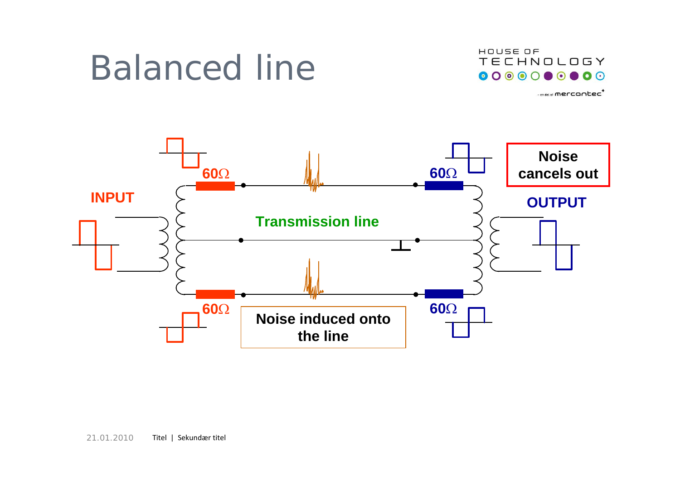## Balanced line



 $-$ en del af **mercantec** 

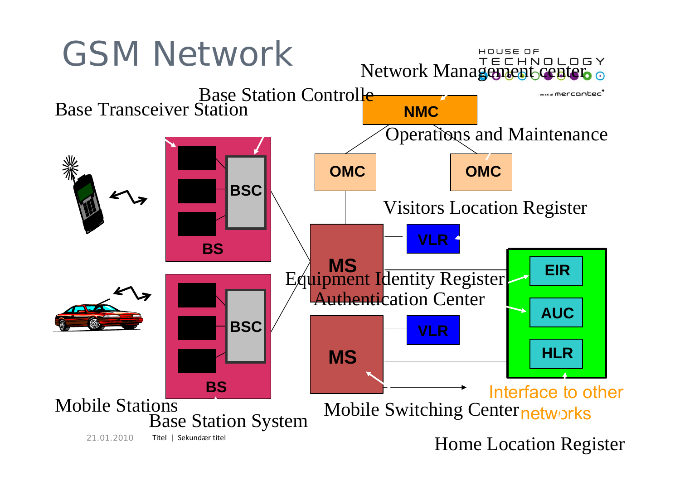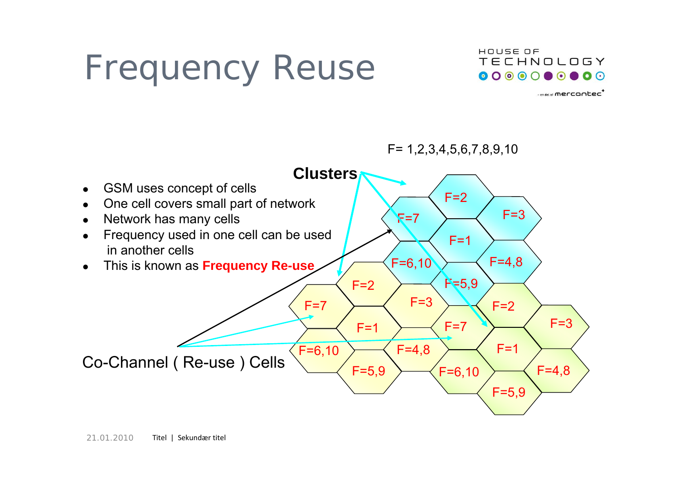# Frequency Reuse



 $-$ en del af **mercontec<sup>+</sup>** 

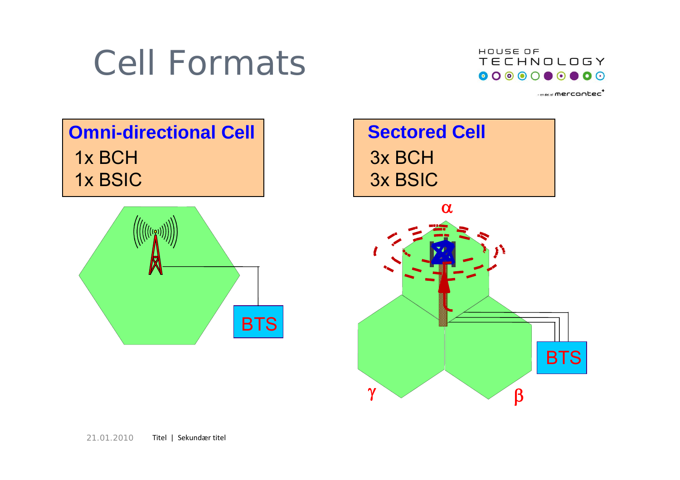## Cell Formats



 $-$ en del al **mercontec<sup>+</sup>** 

## **Omni-directional Cell Sectored Cell** 1x BCH 1x BSIC



## 3x BCH3x BSIC

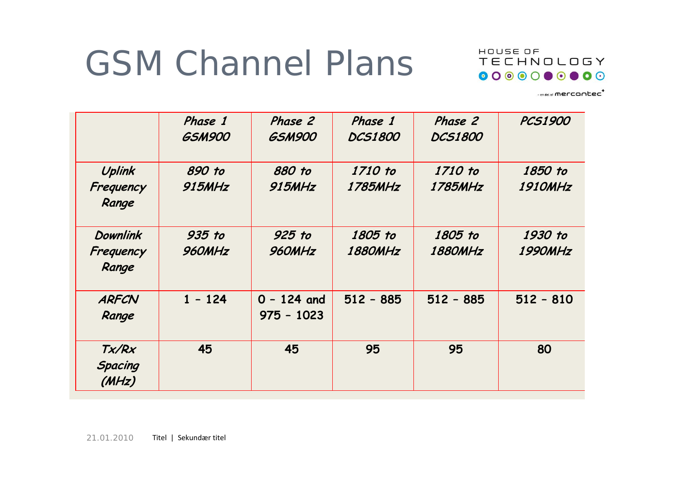# GSM Channel Plans



 $-$ en del af **mercantec<sup>+</sup>** 

|                              | Phase 1<br><b>GSM900</b> | Phase 2<br><b>GSM900</b> | Phase 1<br><b>DCS1800</b> | Phase 2<br><b>DCS1800</b> | <b>PCS1900</b>            |
|------------------------------|--------------------------|--------------------------|---------------------------|---------------------------|---------------------------|
| Uplink                       | 890 to<br><b>915MHz</b>  | 880 to<br><b>915MHz</b>  | 1710 to<br>1785MHz        | 1710 to<br>1785MHz        | 1850 to<br><b>1910MHz</b> |
| Frequency<br>Range           |                          |                          |                           |                           |                           |
| <b>Downlink</b><br>Frequency | 935 to<br>960MHz         | 925 to<br>960MHz         | 1805 to<br><b>1880MHz</b> | 1805 to<br><b>1880MHz</b> | 1930 to<br><b>1990MHz</b> |
| Range                        |                          |                          |                           |                           |                           |
| <b>ARFCN</b>                 | $1 - 124$                | $0 - 124$ and            | $512 - 885$               | $512 - 885$               | $512 - 810$               |
| Range                        |                          | $975 - 1023$             |                           |                           |                           |
| Tx/Rx                        | 45                       | 45                       | 95                        | 95                        | 80                        |
| <b>Spacing</b><br>(MHz)      |                          |                          |                           |                           |                           |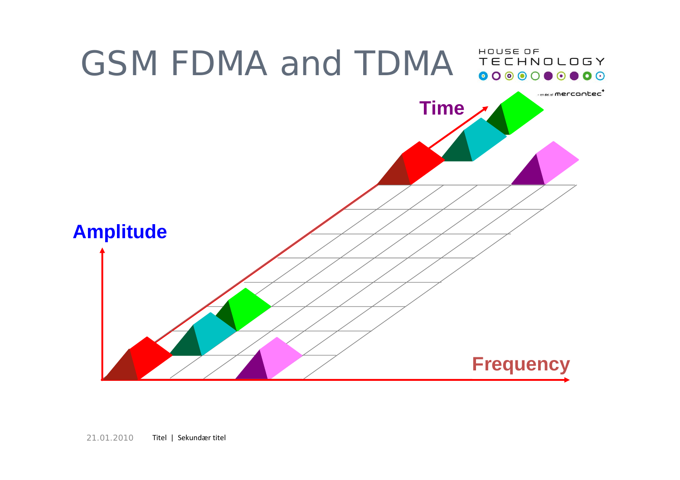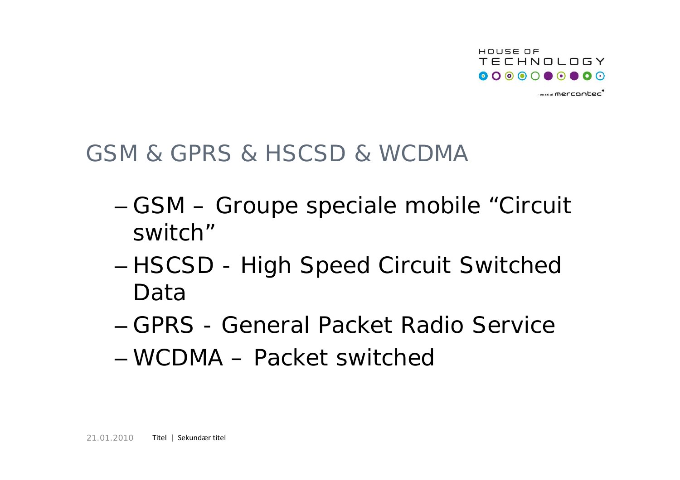

 $-$ en del af **mercontec<sup>+</sup>** 

## GSM & GPRS & HSCSD & WCDMA

- GSM Groupe speciale mobile "Circuit switch"
- and the state of the state HSCSD - High Speed Circuit Switched Data
- GPRS General Packet Radio Service
- WCDMA Packet switched